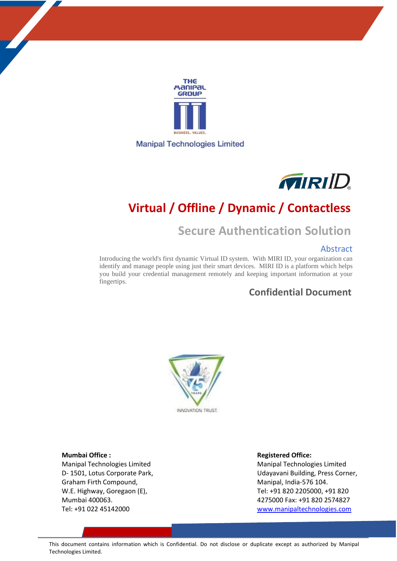



# **Virtual / Offline / Dynamic / Contactless**

# **Secure Authentication Solution**

### Abstract

Introducing the world's first dynamic Virtual ID system. With MIRI ID, your organization can identify and manage people using just their smart devices. MIRI ID is a platform which helps you build your credential management remotely and keeping important information at your fingertips.

## **Confidential Document**



#### **Mumbai Office :**

Manipal Technologies Limited D- 1501, Lotus Corporate Park, Graham Firth Compound, W.E. Highway, Goregaon (E), Mumbai 400063. Tel: +91 022 45142000

#### **Registered Office:**

Manipal Technologies Limited Udayavani Building, Press Corner, Manipal, India-576 104. Tel: +91 820 2205000, +91 820 4275000 Fax: +91 820 2574827 [www.manipaltechnologies.com](http://www.manipaltechnologies.com/)

This document contains information which is Confidential. Do not disclose or duplicate except as authorized by Manipal Technologies Limited.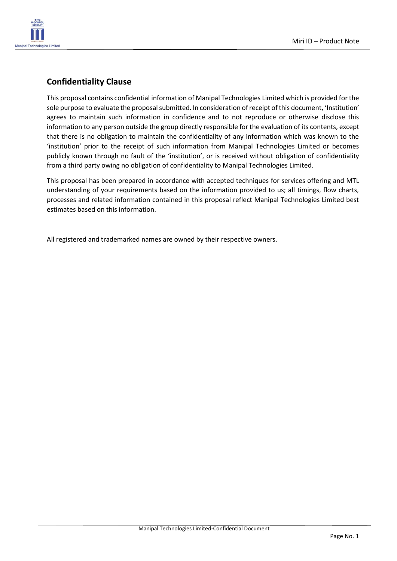

### **Confidentiality Clause**

This proposal contains confidential information of Manipal Technologies Limited which is provided for the sole purpose to evaluate the proposal submitted. In consideration of receipt of this document, 'Institution' agrees to maintain such information in confidence and to not reproduce or otherwise disclose this information to any person outside the group directly responsible for the evaluation of its contents, except that there is no obligation to maintain the confidentiality of any information which was known to the 'institution' prior to the receipt of such information from Manipal Technologies Limited or becomes publicly known through no fault of the 'institution', or is received without obligation of confidentiality from a third party owing no obligation of confidentiality to Manipal Technologies Limited.

This proposal has been prepared in accordance with accepted techniques for services offering and MTL understanding of your requirements based on the information provided to us; all timings, flow charts, processes and related information contained in this proposal reflect Manipal Technologies Limited best estimates based on this information.

All registered and trademarked names are owned by their respective owners.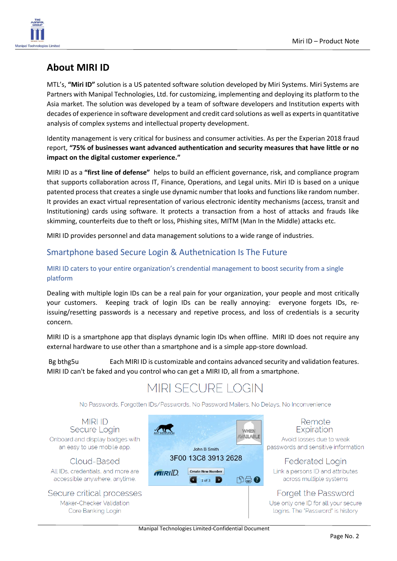

## **About MIRI ID**

MTL's, **"Miri ID"** solution is a US patented software solution developed by Miri Systems. Miri Systems are Partners with Manipal Technologies, Ltd. for customizing, implementing and deploying its platform to the Asia market. The solution was developed by a team of software developers and Institution experts with decades of experience in software development and credit card solutions as well as experts in quantitative analysis of complex systems and intellectual property development.

Identity management is very critical for business and consumer activities. As per the Experian 2018 fraud report, **"75% of businesses want advanced authentication and security measures that have little or no impact on the digital customer experience."**

MIRI ID as a **"first line of defense"** helps to build an efficient governance, risk, and compliance program that supports collaboration across IT, Finance, Operations, and Legal units. Miri ID is based on a unique patented process that creates a single use dynamic number that looks and functions like random number. It provides an exact virtual representation of various electronic identity mechanisms (access, transit and Institutioning) cards using software. It protects a transaction from a host of attacks and frauds like skimming, counterfeits due to theft or loss, Phishing sites, MITM (Man In the Middle) attacks etc.

MIRI ID provides personnel and data management solutions to a wide range of industries.

## Smartphone based Secure Login & Authetnication Is The Future

### MIRI ID caters to your entire organization's crendential management to boost security from a single platform

Dealing with multiple login IDs can be a real pain for your organization, your people and most critically your customers. Keeping track of login IDs can be really annoying: everyone forgets IDs, reissuing/resetting passwords is a necessary and repetive process, and loss of credentials is a security concern.

MIRI ID is a smartphone app that displays dynamic login IDs when offline. MIRI ID does not require any external hardware to use other than a smartphone and is a simple app-store download.

Bg bthg5u Each MIRI ID is customizable and contains advanced security and validation features. MIRI ID can't be faked and you control who can get a MIRI ID, all from a smartphone.

# MIRI SECURE LOGIN

No Passwords, Forgotten IDs/Passwords, No Password Mailers, No Delays, No Inconvenience

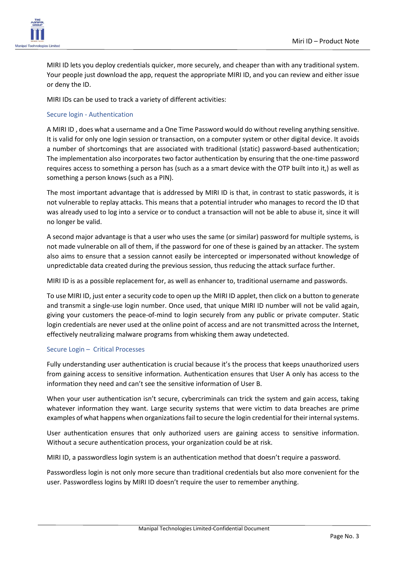MIRI ID lets you deploy credentials quicker, more securely, and cheaper than with any traditional system. Your people just download the app, request the appropriate MIRI ID, and you can review and either issue or deny the ID.

MIRI IDs can be used to track a variety of different activities:

#### Secure login - Authentication

A MIRI ID , does what a username and a One Time Password would do without reveling anything sensitive. It is valid for only one login session or transaction, on a computer system or other digital device. It avoids a number of shortcomings that are associated with traditional (static) password-based authentication; The implementation also incorporates two factor authentication by ensuring that the one-time password requires access to something a person has (such as a a smart device with the OTP built into it,) as well as something a person knows (such as a PIN).

The most important advantage that is addressed by MIRI ID is that, in contrast to static passwords, it is not vulnerable to replay attacks. This means that a potential intruder who manages to record the ID that was already used to log into a service or to conduct a transaction will not be able to abuse it, since it will no longer be valid.

A second major advantage is that a user who uses the same (or similar) password for multiple systems, is not made vulnerable on all of them, if the password for one of these is gained by an attacker. The system also aims to ensure that a session cannot easily be intercepted or impersonated without knowledge of unpredictable data created during the previous session, thus reducing the attack surface further.

MIRI ID is as a possible replacement for, as well as enhancer to, traditional username and passwords.

To use MIRI ID, just enter a security code to open up the MIRI ID applet, then click on a button to generate and transmit a single-use login number. Once used, that unique MIRI ID number will not be valid again, giving your customers the peace-of-mind to login securely from any public or private computer. Static login credentials are never used at the online point of access and are not transmitted across the Internet, effectively neutralizing malware programs from whisking them away undetected.

#### Secure Login – Critical Processes

Fully understanding user authentication is crucial because it's the process that keeps unauthorized users from gaining access to sensitive information. Authentication ensures that User A only has access to the information they need and can't see the sensitive information of User B.

When your user authentication isn't secure, cybercriminals can trick the system and gain access, taking whatever information they want. Large security systems that were victim to data breaches are prime examples of what happens when organizations fail to secure the login credential for their internal systems.

User authentication ensures that only authorized users are gaining access to sensitive information. Without a secure authentication process, your organization could be at risk.

MIRI ID, a passwordless login system is an authentication method that doesn't require a password.

Passwordless login is not only more secure than traditional credentials but also more convenient for the user. Passwordless logins by MIRI ID doesn't require the user to remember anything.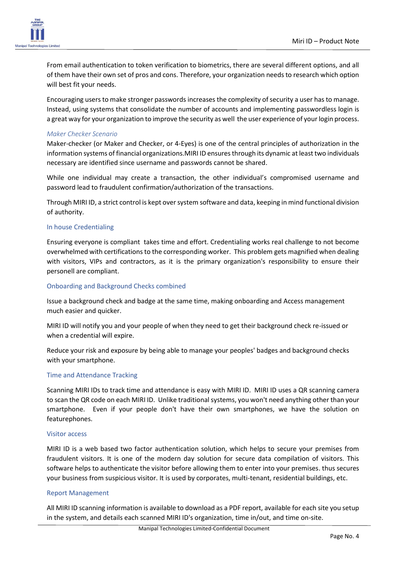

From email authentication to token verification to biometrics, there are several different options, and all of them have their own set of pros and cons. Therefore, your organization needs to research which option will best fit your needs.

Encouraging users to make stronger passwords increases the complexity of security a user has to manage. Instead, using systems that consolidate the number of accounts and implementing passwordless login is a great way for your organization to improve the security as well the user experience of your login process.

#### *Maker Checker Scenario*

Maker-checker (or Maker and Checker, or 4-Eyes) is one of the central principles of authorization in the information systems of financial organizations.MIRI ID ensures through its dynamic at least two individuals necessary are identified since username and passwords cannot be shared.

While one individual may create a transaction, the other individual's compromised username and password lead to fraudulent confirmation/authorization of the transactions.

Through MIRI ID, a strict control is kept over system software and data, keeping in mind functional division of authority.

#### In house Credentialing

Ensuring everyone is compliant takes time and effort. Credentialing works real challenge to not become overwhelmed with certifications to the corresponding worker. This problem gets magnified when dealing with visitors, VIPs and contractors, as it is the primary organization's responsibility to ensure their personell are compliant.

#### Onboarding and Background Checks combined

Issue a background check and badge at the same time, making onboarding and Access management much easier and quicker.

MIRI ID will notify you and your people of when they need to get their background check re-issued or when a credential will expire.

Reduce your risk and exposure by being able to manage your peoples' badges and background checks with your smartphone.

#### Time and Attendance Tracking

Scanning MIRI IDs to track time and attendance is easy with MIRI ID. MIRI ID uses a QR scanning camera to scan the QR code on each MIRI ID. Unlike traditional systems, you won't need anything other than your smartphone. Even if your people don't have their own smartphones, we have the solution on featurephones.

#### Visitor access

MIRI ID is a web based two factor authentication solution, which helps to secure your premises from fraudulent visitors. It is one of the modern day solution for secure data compilation of visitors. This software helps to authenticate the visitor before allowing them to enter into your premises. thus secures your business from suspicious visitor. It is used by corporates, multi-tenant, residential buildings, etc.

#### Report Management

All MIRI ID scanning information is available to download as a PDF report, available for each site you setup in the system, and details each scanned MIRI ID's organization, time in/out, and time on-site.